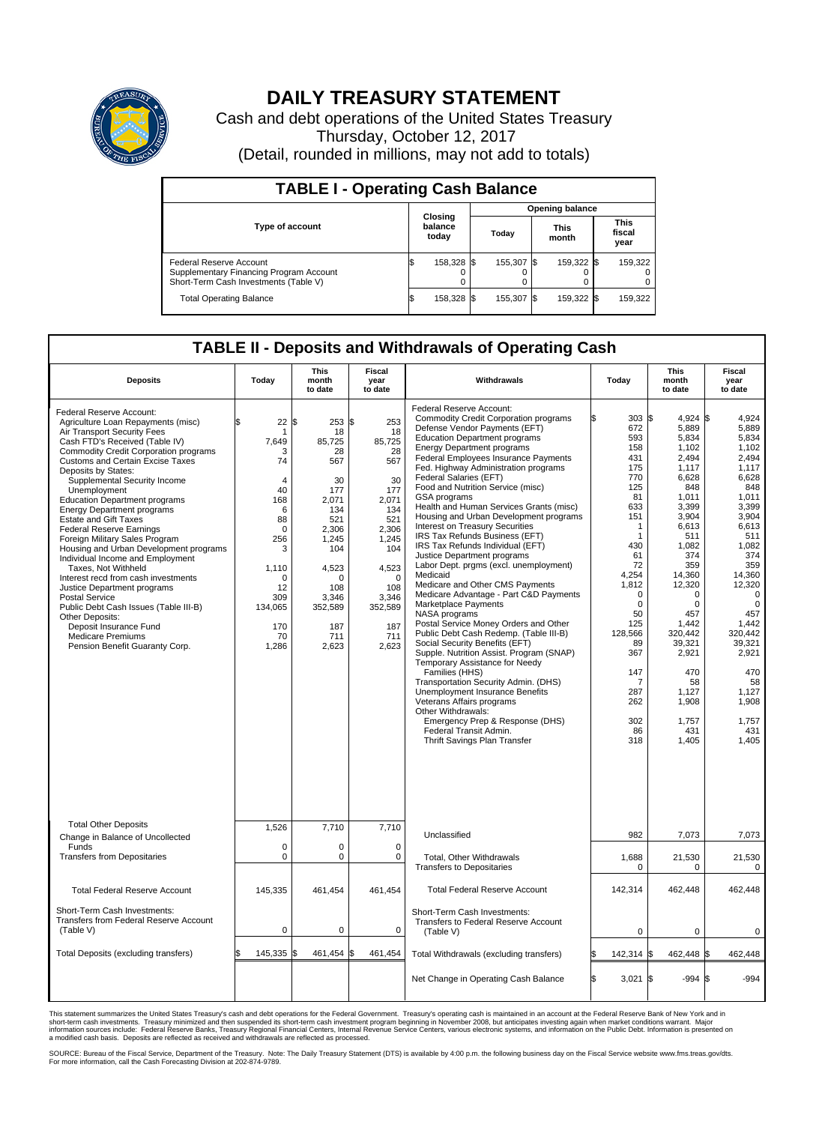

## **DAILY TREASURY STATEMENT**

Cash and debt operations of the United States Treasury Thursday, October 12, 2017 (Detail, rounded in millions, may not add to totals)

| <b>TABLE I - Operating Cash Balance</b>                                                                     |    |                             |  |                        |  |                      |  |                               |  |  |  |
|-------------------------------------------------------------------------------------------------------------|----|-----------------------------|--|------------------------|--|----------------------|--|-------------------------------|--|--|--|
|                                                                                                             |    | Closing<br>balance<br>today |  | <b>Opening balance</b> |  |                      |  |                               |  |  |  |
| <b>Type of account</b>                                                                                      |    |                             |  | Todav                  |  | <b>This</b><br>month |  | <b>This</b><br>fiscal<br>year |  |  |  |
| Federal Reserve Account<br>Supplementary Financing Program Account<br>Short-Term Cash Investments (Table V) |    | 158,328 \$                  |  | 155,307 \$             |  | 159,322 \$           |  | 159,322                       |  |  |  |
| <b>Total Operating Balance</b>                                                                              | ß. | 158,328 \$                  |  | 155,307 \$             |  | 159,322 \$           |  | 159,322                       |  |  |  |

## **TABLE II - Deposits and Withdrawals of Operating Cash**

| <b>Deposits</b>                                                                                                                                                                                                                                                                                                                                                                                                                                                                                                                                                                                                                                                                                                                                                                                                                      | Today                                                                                                                                                                      | <b>This</b><br>month<br>to date                                                                                                                                            | <b>Fiscal</b><br>year<br>to date                                                                                                                                           | Withdrawals                                                                                                                                                                                                                                                                                                                                                                                                                                                                                                                                                                                                                                                                                                                                                                                                                                                                                                                                                                                                                                                                                                                                                                                                           | Today                                                                                                                                                                                                                                         | <b>This</b><br>month<br>to date                                                                                                                                                                                                                                                                         | <b>Fiscal</b><br>year<br>to date                                                                                                                                                                                                                                                          |
|--------------------------------------------------------------------------------------------------------------------------------------------------------------------------------------------------------------------------------------------------------------------------------------------------------------------------------------------------------------------------------------------------------------------------------------------------------------------------------------------------------------------------------------------------------------------------------------------------------------------------------------------------------------------------------------------------------------------------------------------------------------------------------------------------------------------------------------|----------------------------------------------------------------------------------------------------------------------------------------------------------------------------|----------------------------------------------------------------------------------------------------------------------------------------------------------------------------|----------------------------------------------------------------------------------------------------------------------------------------------------------------------------|-----------------------------------------------------------------------------------------------------------------------------------------------------------------------------------------------------------------------------------------------------------------------------------------------------------------------------------------------------------------------------------------------------------------------------------------------------------------------------------------------------------------------------------------------------------------------------------------------------------------------------------------------------------------------------------------------------------------------------------------------------------------------------------------------------------------------------------------------------------------------------------------------------------------------------------------------------------------------------------------------------------------------------------------------------------------------------------------------------------------------------------------------------------------------------------------------------------------------|-----------------------------------------------------------------------------------------------------------------------------------------------------------------------------------------------------------------------------------------------|---------------------------------------------------------------------------------------------------------------------------------------------------------------------------------------------------------------------------------------------------------------------------------------------------------|-------------------------------------------------------------------------------------------------------------------------------------------------------------------------------------------------------------------------------------------------------------------------------------------|
| Federal Reserve Account:<br>Agriculture Loan Repayments (misc)<br>Air Transport Security Fees<br>Cash FTD's Received (Table IV)<br>Commodity Credit Corporation programs<br><b>Customs and Certain Excise Taxes</b><br>Deposits by States:<br>Supplemental Security Income<br>Unemployment<br><b>Education Department programs</b><br><b>Energy Department programs</b><br><b>Estate and Gift Taxes</b><br><b>Federal Reserve Earnings</b><br>Foreign Military Sales Program<br>Housing and Urban Development programs<br>Individual Income and Employment<br>Taxes, Not Withheld<br>Interest recd from cash investments<br>Justice Department programs<br><b>Postal Service</b><br>Public Debt Cash Issues (Table III-B)<br>Other Deposits:<br>Deposit Insurance Fund<br><b>Medicare Premiums</b><br>Pension Benefit Guaranty Corp. | 22<br>\$<br>-1<br>7,649<br>3<br>74<br>$\overline{4}$<br>40<br>168<br>6<br>88<br>$\mathbf 0$<br>256<br>3<br>1,110<br>$\Omega$<br>12<br>309<br>134,065<br>170<br>70<br>1,286 | 253<br>\$<br>18<br>85,725<br>28<br>567<br>30<br>177<br>2,071<br>134<br>521<br>2,306<br>1,245<br>104<br>4,523<br>$\Omega$<br>108<br>3,346<br>352,589<br>187<br>711<br>2,623 | \$<br>253<br>18<br>85,725<br>28<br>567<br>30<br>177<br>2,071<br>134<br>521<br>2,306<br>1,245<br>104<br>4,523<br>$\Omega$<br>108<br>3,346<br>352,589<br>187<br>711<br>2,623 | Federal Reserve Account:<br><b>Commodity Credit Corporation programs</b><br>Defense Vendor Payments (EFT)<br><b>Education Department programs</b><br><b>Energy Department programs</b><br><b>Federal Employees Insurance Payments</b><br>Fed. Highway Administration programs<br>Federal Salaries (EFT)<br>Food and Nutrition Service (misc)<br>GSA programs<br>Health and Human Services Grants (misc)<br>Housing and Urban Development programs<br>Interest on Treasury Securities<br>IRS Tax Refunds Business (EFT)<br>IRS Tax Refunds Individual (EFT)<br>Justice Department programs<br>Labor Dept. prgms (excl. unemployment)<br>Medicaid<br>Medicare and Other CMS Payments<br>Medicare Advantage - Part C&D Payments<br>Marketplace Payments<br>NASA programs<br>Postal Service Money Orders and Other<br>Public Debt Cash Redemp. (Table III-B)<br>Social Security Benefits (EFT)<br>Supple. Nutrition Assist. Program (SNAP)<br>Temporary Assistance for Needy<br>Families (HHS)<br>Transportation Security Admin. (DHS)<br>Unemployment Insurance Benefits<br>Veterans Affairs programs<br>Other Withdrawals:<br>Emergency Prep & Response (DHS)<br>Federal Transit Admin.<br>Thrift Savings Plan Transfer | 672<br>593<br>158<br>431<br>175<br>770<br>125<br>81<br>633<br>151<br>-1<br>$\mathbf{1}$<br>430<br>61<br>72<br>4,254<br>1,812<br>$\mathbf 0$<br>$\mathbf 0$<br>50<br>125<br>128,566<br>89<br>367<br>147<br>7<br>287<br>262<br>302<br>86<br>318 | $4.924$ \\$<br>303S<br>5,889<br>5,834<br>1,102<br>2.494<br>1,117<br>6,628<br>848<br>1.011<br>3,399<br>3,904<br>6,613<br>511<br>1,082<br>374<br>359<br>14,360<br>12,320<br>$\Omega$<br>$\mathbf 0$<br>457<br>1,442<br>320,442<br>39,321<br>2,921<br>470<br>58<br>1,127<br>1,908<br>1,757<br>431<br>1,405 | 4.924<br>5,889<br>5,834<br>1,102<br>2.494<br>1,117<br>6,628<br>848<br>1.011<br>3,399<br>3,904<br>6.613<br>511<br>1,082<br>374<br>359<br>14,360<br>12,320<br>$\Omega$<br>$\mathbf 0$<br>457<br>1,442<br>320.442<br>39,321<br>2,921<br>470<br>58<br>1,127<br>1,908<br>1,757<br>431<br>1,405 |
| <b>Total Other Deposits</b>                                                                                                                                                                                                                                                                                                                                                                                                                                                                                                                                                                                                                                                                                                                                                                                                          | 1,526                                                                                                                                                                      | 7,710                                                                                                                                                                      | 7,710                                                                                                                                                                      | Unclassified                                                                                                                                                                                                                                                                                                                                                                                                                                                                                                                                                                                                                                                                                                                                                                                                                                                                                                                                                                                                                                                                                                                                                                                                          | 982                                                                                                                                                                                                                                           | 7,073                                                                                                                                                                                                                                                                                                   | 7,073                                                                                                                                                                                                                                                                                     |
| Change in Balance of Uncollected<br>Funds<br><b>Transfers from Depositaries</b>                                                                                                                                                                                                                                                                                                                                                                                                                                                                                                                                                                                                                                                                                                                                                      | $\mathbf 0$<br>$\mathbf 0$                                                                                                                                                 | 0<br>0                                                                                                                                                                     | $\mathbf 0$<br>$\mathbf 0$                                                                                                                                                 | Total, Other Withdrawals<br><b>Transfers to Depositaries</b>                                                                                                                                                                                                                                                                                                                                                                                                                                                                                                                                                                                                                                                                                                                                                                                                                                                                                                                                                                                                                                                                                                                                                          | 1,688<br>$\Omega$                                                                                                                                                                                                                             | 21,530<br>$\Omega$                                                                                                                                                                                                                                                                                      | 21,530<br>$\Omega$                                                                                                                                                                                                                                                                        |
| <b>Total Federal Reserve Account</b>                                                                                                                                                                                                                                                                                                                                                                                                                                                                                                                                                                                                                                                                                                                                                                                                 | 145,335                                                                                                                                                                    | 461,454                                                                                                                                                                    | 461,454                                                                                                                                                                    | <b>Total Federal Reserve Account</b>                                                                                                                                                                                                                                                                                                                                                                                                                                                                                                                                                                                                                                                                                                                                                                                                                                                                                                                                                                                                                                                                                                                                                                                  | 142,314                                                                                                                                                                                                                                       | 462,448                                                                                                                                                                                                                                                                                                 | 462,448                                                                                                                                                                                                                                                                                   |
| Short-Term Cash Investments:<br>Transfers from Federal Reserve Account<br>(Table V)                                                                                                                                                                                                                                                                                                                                                                                                                                                                                                                                                                                                                                                                                                                                                  | $\pmb{0}$                                                                                                                                                                  | 0                                                                                                                                                                          | $\mathbf 0$                                                                                                                                                                | Short-Term Cash Investments:<br>Transfers to Federal Reserve Account<br>(Table V)                                                                                                                                                                                                                                                                                                                                                                                                                                                                                                                                                                                                                                                                                                                                                                                                                                                                                                                                                                                                                                                                                                                                     | $\mathbf 0$                                                                                                                                                                                                                                   | 0                                                                                                                                                                                                                                                                                                       | 0                                                                                                                                                                                                                                                                                         |
| Total Deposits (excluding transfers)                                                                                                                                                                                                                                                                                                                                                                                                                                                                                                                                                                                                                                                                                                                                                                                                 | 145,335<br>\$                                                                                                                                                              | 461,454 \$<br>ß.                                                                                                                                                           | 461,454                                                                                                                                                                    | Total Withdrawals (excluding transfers)                                                                                                                                                                                                                                                                                                                                                                                                                                                                                                                                                                                                                                                                                                                                                                                                                                                                                                                                                                                                                                                                                                                                                                               | 142,314 \$                                                                                                                                                                                                                                    | 462,448 \$                                                                                                                                                                                                                                                                                              | 462,448                                                                                                                                                                                                                                                                                   |
|                                                                                                                                                                                                                                                                                                                                                                                                                                                                                                                                                                                                                                                                                                                                                                                                                                      |                                                                                                                                                                            |                                                                                                                                                                            |                                                                                                                                                                            | Net Change in Operating Cash Balance                                                                                                                                                                                                                                                                                                                                                                                                                                                                                                                                                                                                                                                                                                                                                                                                                                                                                                                                                                                                                                                                                                                                                                                  | Ŝ.<br>$3,021$ \$                                                                                                                                                                                                                              | $-994S$                                                                                                                                                                                                                                                                                                 | $-994$                                                                                                                                                                                                                                                                                    |

This statement summarizes the United States Treasury's cash and debt operations for the Federal Government. Treasury's operating cash is maintained in an account at the Federal Reserve Bank of New York and in<br>short-term ca

SOURCE: Bureau of the Fiscal Service, Department of the Treasury. Note: The Daily Treasury Statement (DTS) is available by 4:00 p.m. the following business day on the Fiscal Service website www.fms.treas.gov/dts.<br>For more